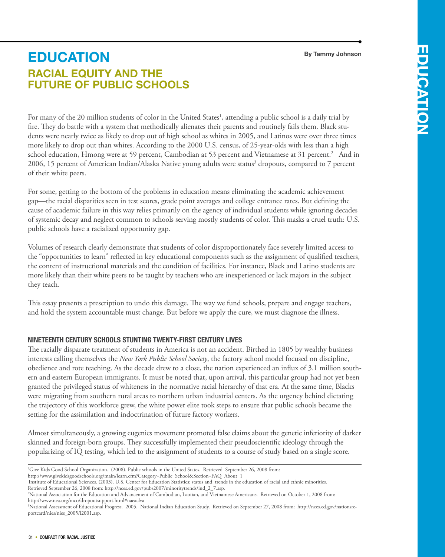# **Racial Equity and the Future of Public Schools education**

For many of the 20 million students of color in the United States<sup>1</sup>, attending a public school is a daily trial by fire. They do battle with a system that methodically alienates their parents and routinely fails them. Black students were nearly twice as likely to drop out of high school as whites in 2005, and Latinos were over three times more likely to drop out than whites. According to the 2000 U.S. census, of 25-year-olds with less than a high school education, Hmong were at 59 percent, Cambodian at 53 percent and Vietnamese at 31 percent.<sup>2</sup> And in 2006, 15 percent of American Indian/Alaska Native young adults were status<sup>3</sup> dropouts, compared to 7 percent of their white peers.

For some, getting to the bottom of the problems in education means eliminating the academic achievement gap—the racial disparities seen in test scores, grade point averages and college entrance rates. But defining the cause of academic failure in this way relies primarily on the agency of individual students while ignoring decades of systemic decay and neglect common to schools serving mostly students of color. This masks a cruel truth: U.S. public schools have a racialized opportunity gap.

Volumes of research clearly demonstrate that students of color disproportionately face severely limited access to the "opportunities to learn" reflected in key educational components such as the assignment of qualified teachers, the content of instructional materials and the condition of facilities. For instance, Black and Latino students are more likely than their white peers to be taught by teachers who are inexperienced or lack majors in the subject they teach.

This essay presents a prescription to undo this damage. The way we fund schools, prepare and engage teachers, and hold the system accountable must change. But before we apply the cure, we must diagnose the illness.

## **Nineteenth Century Schools Stunting Twenty-first Century Lives**

The racially disparate treatment of students in America is not an accident. Birthed in 1805 by wealthy business interests calling themselves the *New York Public School Society*, the factory school model focused on discipline, obedience and rote teaching. As the decade drew to a close, the nation experienced an influx of 3.1 million southern and eastern European immigrants. It must be noted that, upon arrival, this particular group had not yet been granted the privileged status of whiteness in the normative racial hierarchy of that era. At the same time, Blacks were migrating from southern rural areas to northern urban industrial centers. As the urgency behind dictating the trajectory of this workforce grew, the white power elite took steps to ensure that public schools became the setting for the assimilation and indoctrination of future factory workers.

Almost simultaneously, a growing eugenics movement promoted false claims about the genetic inferiority of darker skinned and foreign-born groups. They successfully implemented their pseudoscientific ideology through the popularizing of IQ testing, which led to the assignment of students to a course of study based on a single score.

http://www.givekidsgoodschools.org/main/learn.cfm?Category=Public\_School&Section=FAQ\_About\_1

<sup>1</sup> Give Kids Good School Organization. (2008). Public schools in the United States. Retrieved September 26, 2008 from:

Institute of Educational Sciences. (2003). U.S. Center for Education Statistics: status and trends in the education of racial and ethnic minorities. Retrieved September 26, 2008 from: http://nces.ed.gov/pubs2007/minoritytrends/ind\_2\_7.asp.

<sup>2</sup> National Association for the Education and Advancement of Cambodian, Laotian, and Vietnamese Americans. Retrieved on October 1, 2008 from: http://www.nea.org/mco/dropoutsupport.html#naeaclva

<sup>3</sup> National Assessment of Educational Progress. 2005. National Indian Education Study. Retrieved on September 27, 2008 from: http://nces.ed.gov/nationsreportcard/nies/nies\_2005/l2001.asp.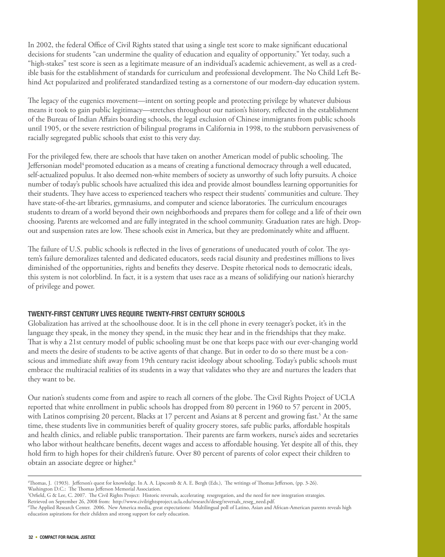In 2002, the federal Office of Civil Rights stated that using a single test score to make significant educational decisions for students "can undermine the quality of education and equality of opportunity." Yet today, such a "high-stakes" test score is seen as a legitimate measure of an individual's academic achievement, as well as a credible basis for the establishment of standards for curriculum and professional development. The No Child Left Behind Act popularized and proliferated standardized testing as a cornerstone of our modern-day education system.

The legacy of the eugenics movement—intent on sorting people and protecting privilege by whatever dubious means it took to gain public legitimacy—stretches throughout our nation's history, reflected in the establishment of the Bureau of Indian Affairs boarding schools, the legal exclusion of Chinese immigrants from public schools until 1905, or the severe restriction of bilingual programs in California in 1998, to the stubborn pervasiveness of racially segregated public schools that exist to this very day.

For the privileged few, there are schools that have taken on another American model of public schooling. The Jeffersonian model<sup>4</sup> promoted education as a means of creating a functional democracy through a well educated, self-actualized populus. It also deemed non-white members of society as unworthy of such lofty pursuits. A choice number of today's public schools have actualized this idea and provide almost boundless learning opportunities for their students. They have access to experienced teachers who respect their students' communities and culture. They have state-of-the-art libraries, gymnasiums, and computer and science laboratories. The curriculum encourages students to dream of a world beyond their own neighborhoods and prepares them for college and a life of their own choosing. Parents are welcomed and are fully integrated in the school community. Graduation rates are high. Dropout and suspension rates are low. These schools exist in America, but they are predominately white and affluent.

The failure of U.S. public schools is reflected in the lives of generations of uneducated youth of color. The system's failure demoralizes talented and dedicated educators, seeds racial disunity and predestines millions to lives diminished of the opportunities, rights and benefits they deserve. Despite rhetorical nods to democratic ideals, this system is not colorblind. In fact, it is a system that uses race as a means of solidifying our nation's hierarchy of privilege and power.

## **Twenty-first century lives require twenty-first century schools**

Globalization has arrived at the schoolhouse door. It is in the cell phone in every teenager's pocket, it's in the language they speak, in the money they spend, in the music they hear and in the friendships that they make. That is why a 21st century model of public schooling must be one that keeps pace with our ever-changing world and meets the desire of students to be active agents of that change. But in order to do so there must be a conscious and immediate shift away from 19th century racist ideology about schooling. Today's public schools must embrace the multiracial realities of its students in a way that validates who they are and nurtures the leaders that they want to be.

Our nation's students come from and aspire to reach all corners of the globe. The Civil Rights Project of UCLA reported that white enrollment in public schools has dropped from 80 percent in 1960 to 57 percent in 2005, with Latinos comprising 20 percent, Blacks at 17 percent and Asians at 8 percent and growing fast.<sup>5</sup> At the same time, these students live in communities bereft of quality grocery stores, safe public parks, affordable hospitals and health clinics, and reliable public transportation. Their parents are farm workers, nurse's aides and secretaries who labor without healthcare benefits, decent wages and access to affordable housing. Yet despite all of this, they hold firm to high hopes for their children's future. Over 80 percent of parents of color expect their children to obtain an associate degree or higher.<sup>6</sup>

<sup>4</sup> Thomas, J. (1903). Jefferson's quest for knowledge. In A. A. Lipscomb & A. E. Bergh (Eds.), The writings of Thomas Jefferson, (pp. 3-26). Washington D.C.: The Thomas Jefferson Memorial Association.

<sup>5</sup> Orfield, G & Lee, C. 2007. The Civil Rights Project: Historic reversals, accelerating resegregation, and the need for new integration strategies. Retrieved on September 26, 2008 from: http://www.civilrightsproject.ucla.edu/research/deseg/reversals\_reseg\_need.pdf.

<sup>6</sup> The Applied Research Center. 2006. New America media, great expectations: Multilingual poll of Latino, Asian and African-American parents reveals high education aspirations for their children and strong support for early education.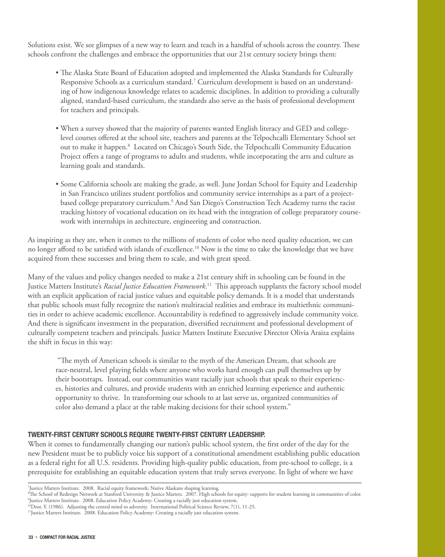Solutions exist. We see glimpses of a new way to learn and teach in a handful of schools across the country. These schools confront the challenges and embrace the opportunities that our 21st century society brings them:

- The Alaska State Board of Education adopted and implemented the Alaska Standards for Culturally Responsive Schools as a curriculum standard.7 Curriculum development is based on an understanding of how indigenous knowledge relates to academic disciplines. In addition to providing a culturally aligned, standard-based curriculum, the standards also serve as the basis of professional development for teachers and principals.
- When a survey showed that the majority of parents wanted English literacy and GED and collegelevel courses offered at the school site, teachers and parents at the Telpochcalli Elementary School set out to make it happen.<sup>8</sup> Located on Chicago's South Side, the Telpochcalli Community Education Project offers a range of programs to adults and students, while incorporating the arts and culture as learning goals and standards.
- Some California schools are making the grade, as well. June Jordan School for Equity and Leadership in San Francisco utilizes student portfolios and community service internships as a part of a projectbased college preparatory curriculum.<sup>9</sup> And San Diego's Construction Tech Academy turns the racist tracking history of vocational education on its head with the integration of college preparatory coursework with internships in architecture, engineering and construction.

As inspiring as they are, when it comes to the millions of students of color who need quality education, we can no longer afford to be satisfied with islands of excellence.<sup>10</sup> Now is the time to take the knowledge that we have acquired from these successes and bring them to scale, and with great speed.

Many of the values and policy changes needed to make a 21st century shift in schooling can be found in the Justice Matters Institute's *Racial Justice Education Framework*. 11 This approach supplants the factory school model with an explicit application of racial justice values and equitable policy demands. It is a model that understands that public schools must fully recognize the nation's multiracial realities and embrace its multiethnic communities in order to achieve academic excellence. Accountability is redefined to aggressively include community voice. And there is significant investment in the preparation, diversified recruitment and professional development of culturally competent teachers and principals. Justice Matters Institute Executive Director Olivia Araiza explains the shift in focus in this way:

 "The myth of American schools is similar to the myth of the American Dream, that schools are race-neutral, level playing fields where anyone who works hard enough can pull themselves up by their bootstraps. Instead, our communities want racially just schools that speak to their experiences, histories and cultures, and provide students with an enriched learning experience and authentic opportunity to thrive. In transforming our schools to at last serve us, organized communities of color also demand a place at the table making decisions for their school system."

## **Twenty-first Century Schools Require Twenty-first Century Leadership.**

When it comes to fundamentally changing our nation's public school system, the first order of the day for the new President must be to publicly voice his support of a constitutional amendment establishing public education as a federal right for all U.S. residents. Providing high-quality public education, from pre-school to college, is a prerequisite for establishing an equitable education system that truly serves everyone. In light of where we have

<sup>7</sup> Justice Matters Institute. 2008. Racial equity framework; Native Alaskans shaping learning.

<sup>8</sup> The School of Redesign Network at Stanford University & Justice Matters. 2007. High schools for equity: supports for student learning in communities of color.

<sup>9</sup> Justice Matters Institute. 2008. Education Policy Academy: Creating a racially just education system. <sup>10</sup>Dror, Y. (1986). Adjusting the central mind to adversity. International Political Science Review, 7(1), 11-25.

<sup>&</sup>lt;sup>11</sup>Justice Matters Institute. 2008. Education Policy Academy: Creating a racially just education system.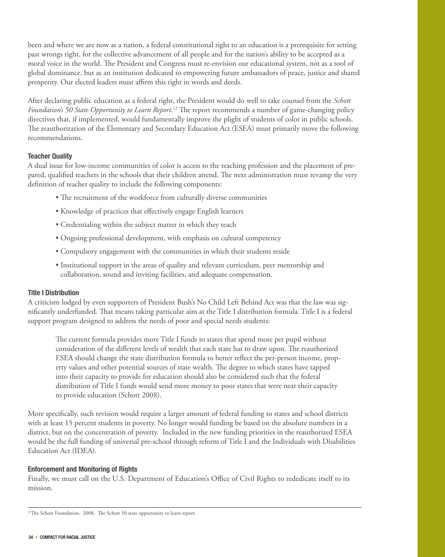been and where we are now as a nation, a federal constitutional right to an education is a prerequisite for setting past wrongs right, for the collective advancement of all people and for the nation's ability to be accepted as a moral voice in the world. The President and Congress must re-envision our educational system, not as a tool of global dominance, but as an institution dedicated to empowering future ambassadors of peace, justice and shared prosperity. Our elected leaders must affirm this right in words and deeds.

After declaring public education as a federal right, the President would do well to take counsel from the *Schott Foundation's 50 State Opportunity to Learn Report.*12 The report recommends a number of game-changing policy directives that, if implemented, would fundamentally improve the plight of students of color in public schools. The reauthorization of the Elementary and Secondary Education Act (ESEA) must primarily move the following recommendations.

## **Teacher Quality**

A dual issue for low-income communities of color is access to the teaching profession and the placement of prepared, qualified teachers in the schools that their children attend. The next administration must revamp the very definition of teacher quality to include the following components:

- The recruitment of the workforce from culturally diverse communities
- Knowledge of practices that effectively engage English learners
- Credentialing within the subject matter in which they teach
- Ongoing professional development, with emphasis on cultural competency
- Compulsory engagement with the communities in which their students reside
- Institutional support in the areas of quality and relevant curriculum, peer mentorship and collaboration, sound and inviting facilities, and adequate compensation.

## **Title I Distribution**

A criticism lodged by even supporters of President Bush's No Child Left Behind Act was that the law was significantly underfunded. That means taking particular aim at the Title I distribution formula. Title I is a federal support program designed to address the needs of poor and special needs students:

The current formula provides more Title I funds to states that spend more per pupil without consideration of the different levels of wealth that each state has to draw upon. The reauthorized ESEA should change the state distribution formula to better reflect the per-person income, property values and other potential sources of state wealth. The degree to which states have tapped into their capacity to provide for education should also be considered such that the federal distribution of Title I funds would send more money to poor states that were near their capacity to provide education (Schott 2008).

More specifically, such revision would require a larger amount of federal funding to states and school districts with at least 15 percent students in poverty. No longer would funding be based on the absolute numbers in a district, but on the concentration of poverty. Included in the new funding priorities in the reauthorized ESEA would be the full funding of universal pre-school through reform of Title I and the Individuals with Disabilities Education Act (IDEA).

## **Enforcement and Monitoring of Rights**

Finally, we must call on the U.S. Department of Education's Office of Civil Rights to rededicate itself to its mission.

<sup>&</sup>lt;sup>12</sup>The Schott Foundation. 2008. The Schott 50 state opportunity to learn report.